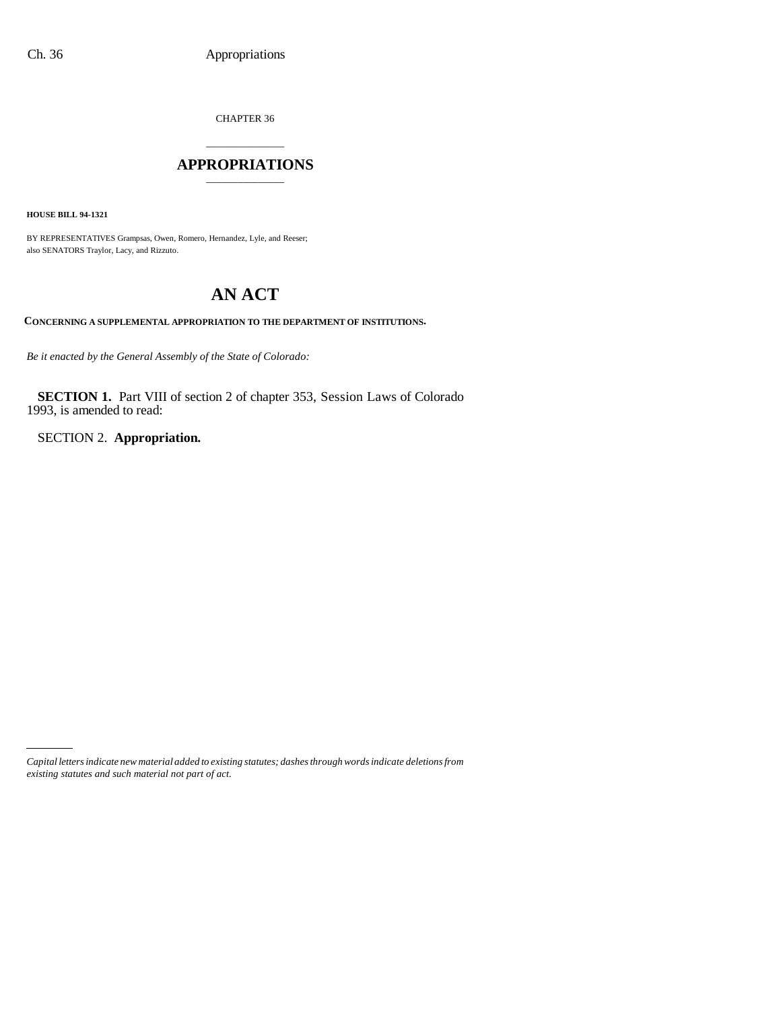CHAPTER 36

# \_\_\_\_\_\_\_\_\_\_\_\_\_\_\_ **APPROPRIATIONS** \_\_\_\_\_\_\_\_\_\_\_\_\_\_\_

**HOUSE BILL 94-1321**

BY REPRESENTATIVES Grampsas, Owen, Romero, Hernandez, Lyle, and Reeser; also SENATORS Traylor, Lacy, and Rizzuto.

# **AN ACT**

**CONCERNING A SUPPLEMENTAL APPROPRIATION TO THE DEPARTMENT OF INSTITUTIONS.**

*Be it enacted by the General Assembly of the State of Colorado:*

**SECTION 1.** Part VIII of section 2 of chapter 353, Session Laws of Colorado 1993, is amended to read:

SECTION 2. **Appropriation.**

*Capital letters indicate new material added to existing statutes; dashes through words indicate deletions from existing statutes and such material not part of act.*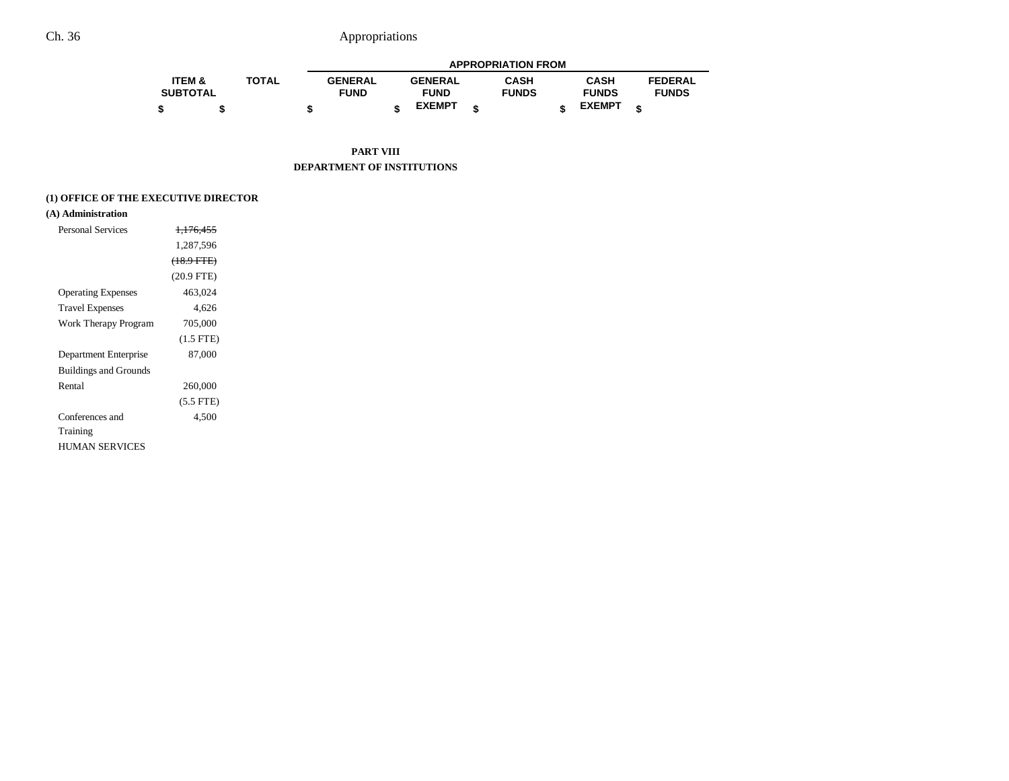|                   |              |                |                | <b>APPROPRIATION FROM</b> |               |                |
|-------------------|--------------|----------------|----------------|---------------------------|---------------|----------------|
| <b>ITEM &amp;</b> | <b>TOTAL</b> | <b>GENERAL</b> | <b>GENERAL</b> | CASH                      | <b>CASH</b>   | <b>FEDERAL</b> |
| <b>SUBTOTAL</b>   |              | <b>FUND</b>    | <b>FUND</b>    | <b>FUNDS</b>              | <b>FUNDS</b>  | <b>FUNDS</b>   |
|                   |              |                | <b>EXEMPT</b>  |                           | <b>EXEMPT</b> |                |

**PART VIII DEPARTMENT OF INSTITUTIONS**

### **(1) OFFICE OF THE EXECUTIVE DIRECTOR**

## **(A) Administration**

| Personal Services            | <del>1.176.455</del> |  |
|------------------------------|----------------------|--|
|                              | 1.287.596            |  |
|                              | $(18.9$ FTE)         |  |
|                              | $(20.9$ FTE)         |  |
| <b>Operating Expenses</b>    | 463,024              |  |
| <b>Travel Expenses</b>       | 4.626                |  |
| Work Therapy Program         | 705,000              |  |
|                              | $(1.5$ FTE)          |  |
| Department Enterprise        | 87,000               |  |
| <b>Buildings and Grounds</b> |                      |  |
| Rental                       | 260,000              |  |
|                              | $(5.5$ FTE)          |  |
| Conferences and              | 4.500                |  |
| Training                     |                      |  |
| HUMAN SERVICES               |                      |  |
|                              |                      |  |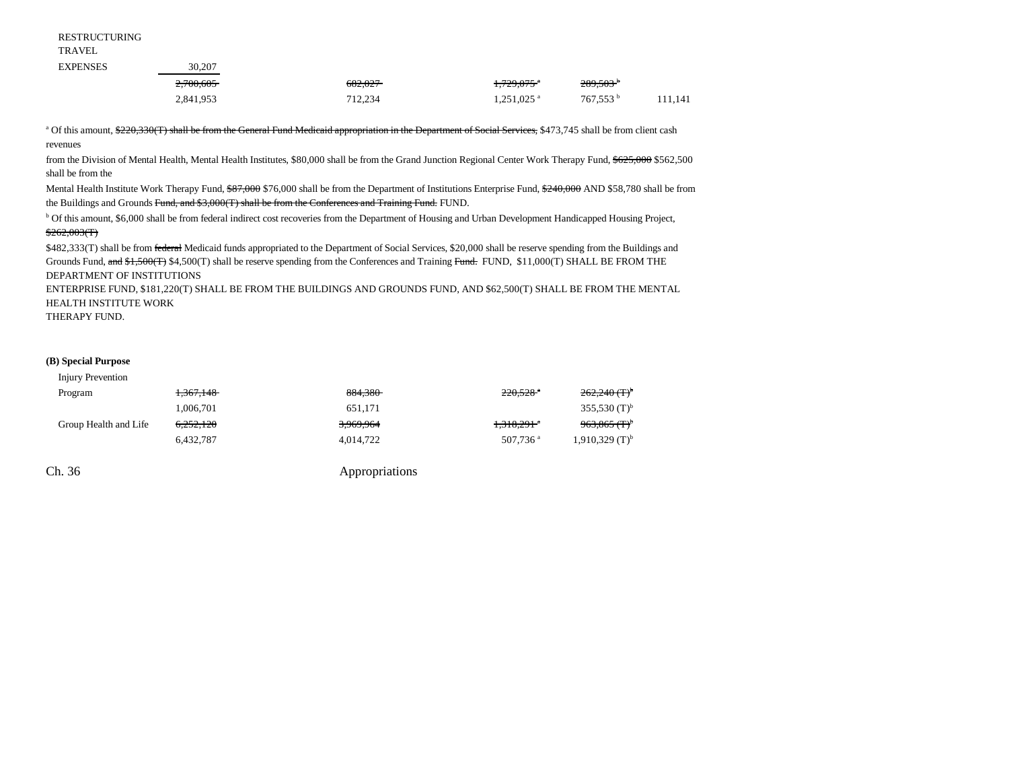RESTRUCTURING

TRAVEL

| <b>EXPENSES</b> | 30.207    |         |                          |                        |         |
|-----------------|-----------|---------|--------------------------|------------------------|---------|
|                 | 2,700,605 | 682.027 | 1,729,075 a              | $289,503$ <sup>b</sup> |         |
|                 | 2,841,953 | 712.234 | $1,251,025$ <sup>a</sup> | 767.553 <sup>b</sup>   | 111.141 |

<sup>a</sup> Of this amount, \$220,330(T) shall be from the General Fund Medicaid appropriation in the Department of Social Services, \$473,745 shall be from client cash revenues

from the Division of Mental Health, Mental Health Institutes, \$80,000 shall be from the Grand Junction Regional Center Work Therapy Fund, \$625,000 \$562,500 shall be from the

Mental Health Institute Work Therapy Fund,  $$87,000$  \$76,000 shall be from the Department of Institutions Enterprise Fund,  $$240,000$  AND \$58,780 shall be from the Buildings and Grounds Fund, and \$3,000(T) shall be from the Conferences and Training Fund. FUND.

b Of this amount, \$6,000 shall be from federal indirect cost recoveries from the Department of Housing and Urban Development Handicapped Housing Project,  $$262,003(T)$ 

\$482,333(T) shall be from federal Medicaid funds appropriated to the Department of Social Services, \$20,000 shall be reserve spending from the Buildings and Grounds Fund, and \$1,500(T) \$4,500(T) shall be reserve spending from the Conferences and Training Fund. FUND, \$11,000(T) SHALL BE FROM THE DEPARTMENT OF INSTITUTIONS

ENTERPRISE FUND, \$181,220(T) SHALL BE FROM THE BUILDINGS AND GROUNDS FUND, AND \$62,500(T) SHALL BE FROM THE MENTAL HEALTH INSTITUTE WORK

THERAPY FUND.

#### **(B) Special Purpose**

| Injury Prevention     |                      |           |                        |                              |
|-----------------------|----------------------|-----------|------------------------|------------------------------|
| Program               | <del>1,367,148</del> | 884,380   | $220.528$ <sup>a</sup> | $262,240(T)^5$               |
|                       | 1.006.701            | 651.171   |                        | 355,530 $(T)^b$              |
| Group Health and Life | <del>6.252.120</del> | 3,969,964 | <del>1.318,291</del>   | $963,865$ (T) <sup>b</sup>   |
|                       | 6,432,787            | 4,014,722 | 507.736 <sup>a</sup>   | $1,910,329$ (T) <sup>b</sup> |
|                       |                      |           |                        |                              |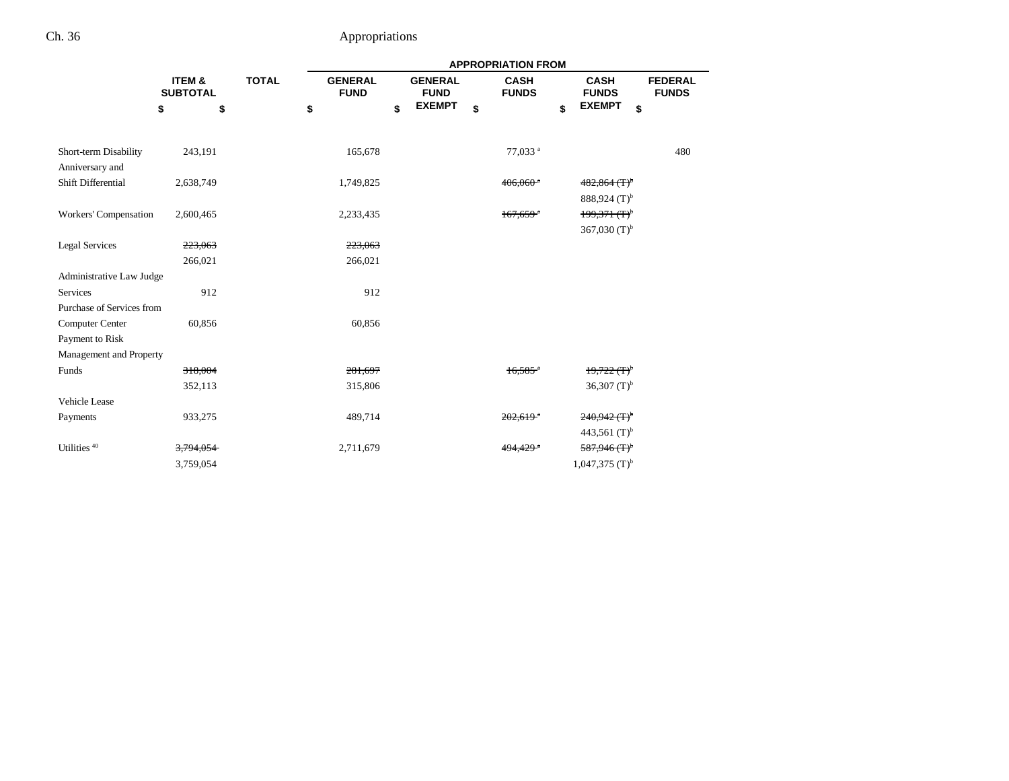|                                          |                           |              | <b>APPROPRIATION FROM</b>     |    |                               |    |                             |                                                  |                                |  |  |  |
|------------------------------------------|---------------------------|--------------|-------------------------------|----|-------------------------------|----|-----------------------------|--------------------------------------------------|--------------------------------|--|--|--|
|                                          | ITEM &<br><b>SUBTOTAL</b> | <b>TOTAL</b> | <b>GENERAL</b><br><b>FUND</b> |    | <b>GENERAL</b><br><b>FUND</b> |    | <b>CASH</b><br><b>FUNDS</b> | <b>CASH</b><br><b>FUNDS</b>                      | <b>FEDERAL</b><br><b>FUNDS</b> |  |  |  |
|                                          | \$                        | \$           | \$                            | \$ | <b>EXEMPT</b>                 | \$ | \$                          | <b>EXEMPT</b><br>\$                              |                                |  |  |  |
|                                          |                           |              |                               |    |                               |    |                             |                                                  |                                |  |  |  |
| Short-term Disability<br>Anniversary and | 243,191                   |              | 165,678                       |    |                               |    | 77,033 <sup>a</sup>         |                                                  | 480                            |  |  |  |
| Shift Differential                       | 2,638,749                 |              | 1,749,825                     |    |                               |    | $406,060$ <sup>a</sup>      | $482,864 \times T$ <sup>b</sup>                  |                                |  |  |  |
|                                          |                           |              |                               |    |                               |    |                             | $888,924$ (T) <sup>b</sup>                       |                                |  |  |  |
| Workers' Compensation                    | 2,600,465                 |              | 2,233,435                     |    |                               |    | $167.659$ <sup>a</sup>      | $199,371$ (T) <sup>b</sup>                       |                                |  |  |  |
|                                          |                           |              |                               |    |                               |    |                             | 367,030 $(T)^{b}$                                |                                |  |  |  |
| <b>Legal Services</b>                    | 223,063                   |              | 223.063                       |    |                               |    |                             |                                                  |                                |  |  |  |
|                                          | 266,021                   |              | 266,021                       |    |                               |    |                             |                                                  |                                |  |  |  |
| Administrative Law Judge                 |                           |              |                               |    |                               |    |                             |                                                  |                                |  |  |  |
| Services                                 | 912                       |              | 912                           |    |                               |    |                             |                                                  |                                |  |  |  |
| Purchase of Services from                |                           |              |                               |    |                               |    |                             |                                                  |                                |  |  |  |
| <b>Computer Center</b>                   | 60,856                    |              | 60,856                        |    |                               |    |                             |                                                  |                                |  |  |  |
| Payment to Risk                          |                           |              |                               |    |                               |    |                             |                                                  |                                |  |  |  |
| Management and Property                  |                           |              |                               |    |                               |    |                             |                                                  |                                |  |  |  |
| Funds                                    | 318,004                   |              | 281,697                       |    |                               |    | $16,585$ <sup>a</sup>       | $19,722$ (T) <sup><math>\textdegree</math></sup> |                                |  |  |  |
|                                          | 352,113                   |              | 315,806                       |    |                               |    |                             | 36,307 $(T)^{b}$                                 |                                |  |  |  |
| Vehicle Lease                            |                           |              |                               |    |                               |    |                             |                                                  |                                |  |  |  |
| Payments                                 | 933,275                   |              | 489,714                       |    |                               |    | $202.619$ <sup>a</sup>      | $240,942 \, (\text{T})^{\text{b}}$               |                                |  |  |  |
|                                          |                           |              |                               |    |                               |    |                             | 443,561 $(T)^b$                                  |                                |  |  |  |
| Utilities $^{\rm 40}$                    | 3,794,054                 |              | 2,711,679                     |    |                               |    | 4 <del>94.429</del>         | $587,946(T)^{b}$                                 |                                |  |  |  |
|                                          | 3,759,054                 |              |                               |    |                               |    |                             | $1,047,375$ (T) <sup>b</sup>                     |                                |  |  |  |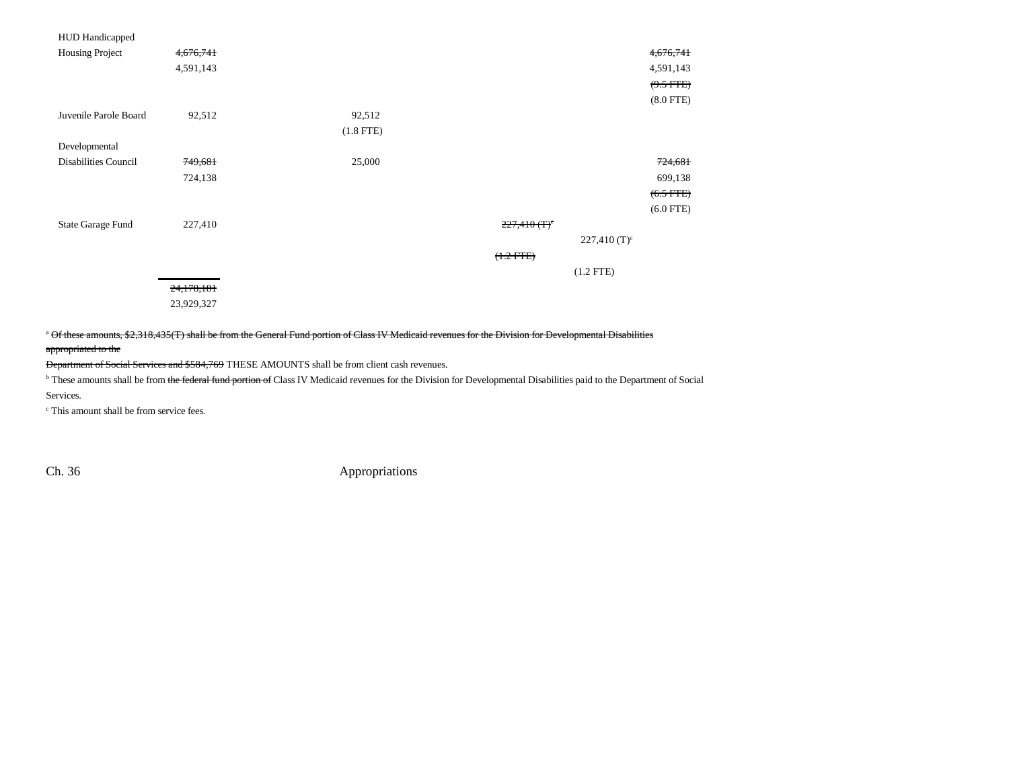| <b>HUD</b> Handicapped      |            |                |                            |                |
|-----------------------------|------------|----------------|----------------------------|----------------|
| Housing Project             | 4,676,741  |                |                            | 4,676,741      |
|                             | 4,591,143  |                |                            | 4,591,143      |
|                             |            |                |                            | $(9.5$ FTE)    |
|                             |            |                |                            | $(8.0$ FTE $)$ |
| Juvenile Parole Board       | 92,512     | 92,512         |                            |                |
|                             |            | $(1.8$ FTE $)$ |                            |                |
| Developmental               |            |                |                            |                |
| <b>Disabilities Council</b> | 749,681    | 25,000         |                            | 724,681        |
|                             | 724,138    |                |                            | 699,138        |
|                             |            |                |                            | $(6.5$ FTE)    |
|                             |            |                |                            | $(6.0$ FTE)    |
| <b>State Garage Fund</b>    | 227,410    |                | $227,410(T)^c$             |                |
|                             |            |                | $227,410$ (T) <sup>c</sup> |                |
|                             |            |                | $(1.2 FFE)$                |                |
|                             |            |                | $(1.2$ FTE)                |                |
|                             | 24,178,181 |                |                            |                |
|                             | 23,929,327 |                |                            |                |

<sup>a</sup> Of these amounts, \$2,318,435(T) shall be from the General Fund portion of Class IV Medicaid revenues for the Division for Developmental Disabilities

#### appropriated to the

Department of Social Services and \$584,769 THESE AMOUNTS shall be from client cash revenues.

<sup>b</sup> These amounts shall be from the federal fund portion of Class IV Medicaid revenues for the Division for Developmental Disabilities paid to the Department of Social

Services.

c This amount shall be from service fees.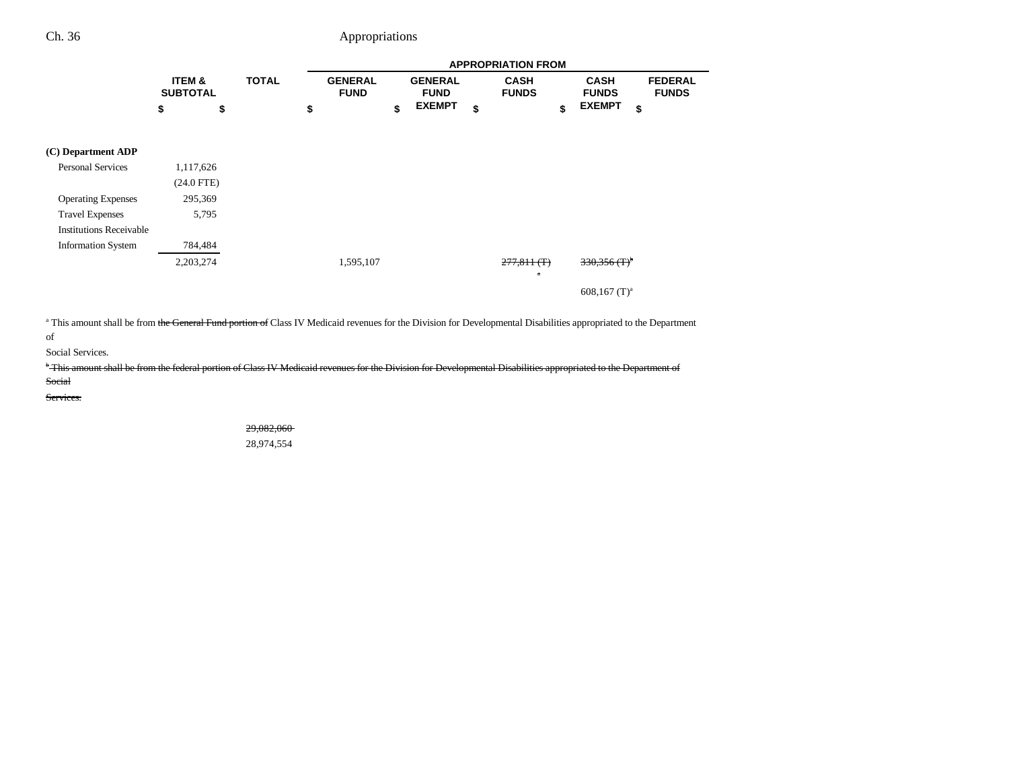|                                |                                      |              |                               |                               | <b>APPROPRIATION FROM</b>   |                             |                                |
|--------------------------------|--------------------------------------|--------------|-------------------------------|-------------------------------|-----------------------------|-----------------------------|--------------------------------|
|                                | <b>ITEM &amp;</b><br><b>SUBTOTAL</b> | <b>TOTAL</b> | <b>GENERAL</b><br><b>FUND</b> | <b>GENERAL</b><br><b>FUND</b> | <b>CASH</b><br><b>FUNDS</b> | <b>CASH</b><br><b>FUNDS</b> | <b>FEDERAL</b><br><b>FUNDS</b> |
|                                | \$<br>\$                             |              | \$                            | \$<br><b>EXEMPT</b>           | \$                          | \$<br><b>EXEMPT</b>         | \$                             |
| (C) Department ADP             |                                      |              |                               |                               |                             |                             |                                |
| <b>Personal Services</b>       | 1,117,626                            |              |                               |                               |                             |                             |                                |
|                                | $(24.0$ FTE)                         |              |                               |                               |                             |                             |                                |
| <b>Operating Expenses</b>      | 295,369                              |              |                               |                               |                             |                             |                                |
| <b>Travel Expenses</b>         | 5,795                                |              |                               |                               |                             |                             |                                |
| <b>Institutions Receivable</b> |                                      |              |                               |                               |                             |                             |                                |
| <b>Information System</b>      | 784,484                              |              |                               |                               |                             |                             |                                |
|                                | 2,203,274                            |              | 1,595,107                     |                               | 277,811(f)<br>$\mathbf{a}$  | $330,356(T)^6$              |                                |
|                                |                                      |              |                               |                               |                             | $608,167$ (T) <sup>a</sup>  |                                |

<sup>a</sup> This amount shall be from the General Fund portion of Class IV Medicaid revenues for the Division for Developmental Disabilities appropriated to the Department

of

Social Services.

<sup>b</sup> This amount shall be from the federal portion of Class IV Medicaid revenues for the Division for Developmental Disabilities appropriated to the Department of

Social

Services.

29,082,060 28,974,554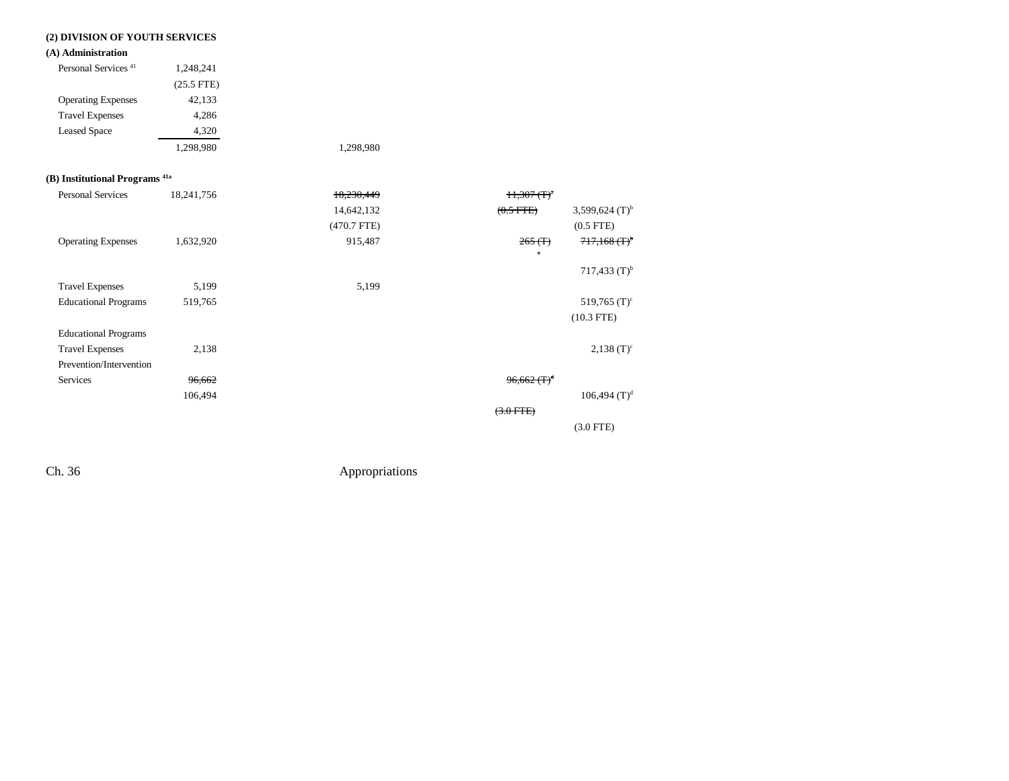### **(2) DIVISION OF YOUTH SERVICES**

### **(A) Administration**

| Personal Services <sup>41</sup> | 1,248,241    |           |
|---------------------------------|--------------|-----------|
|                                 | $(25.5$ FTE) |           |
| <b>Operating Expenses</b>       | 42,133       |           |
| <b>Travel Expenses</b>          | 4,286        |           |
| <b>Leased Space</b>             | 4,320        |           |
|                                 | 1,298,980    | 1,298,980 |

### **(B) Institutional Programs 41a**

| <b>Personal Services</b>    | 18,241,756 | 18.230.449    | $H.307(T)^{a}$                 |                            |
|-----------------------------|------------|---------------|--------------------------------|----------------------------|
|                             |            | 14,642,132    | $(0.5$ FTE)                    | 3,599,624 $(T)^{b}$        |
|                             |            | $(470.7$ FTE) |                                | $(0.5$ FTE $)$             |
| <b>Operating Expenses</b>   | 1,632,920  | 915,487       | 265(f)                         | $717,168$ (T) <sup>b</sup> |
|                             |            |               | $\mathbf{a}$                   |                            |
|                             |            |               |                                | 717,433 $(T)^{b}$          |
| <b>Travel Expenses</b>      | 5,199      | 5,199         |                                |                            |
| <b>Educational Programs</b> | 519,765    |               |                                | 519,765 $(T)^c$            |
|                             |            |               |                                | $(10.3$ FTE)               |
| <b>Educational Programs</b> |            |               |                                |                            |
| <b>Travel Expenses</b>      | 2,138      |               |                                | $2,138$ (T) <sup>c</sup>   |
| Prevention/Intervention     |            |               |                                |                            |
| Services                    | 96,662     |               | $96,662 \times T$ <sup>d</sup> |                            |
|                             | 106,494    |               |                                | $106,494$ (T) <sup>d</sup> |
|                             |            |               | $(3.0$ FTE)                    |                            |
|                             |            |               |                                | $(3.0$ FTE)                |
|                             |            |               |                                |                            |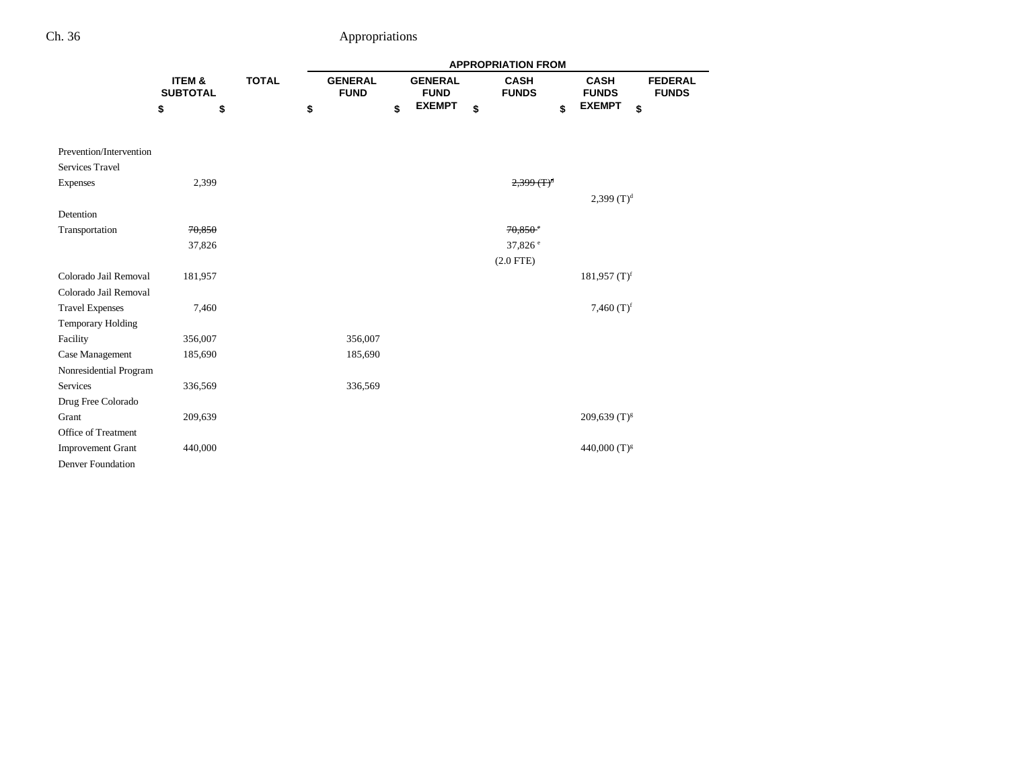|                          |                           |              |                               |                               | <b>APPROPRIATION FROM</b>      |                             |                                |
|--------------------------|---------------------------|--------------|-------------------------------|-------------------------------|--------------------------------|-----------------------------|--------------------------------|
|                          | ITEM &<br><b>SUBTOTAL</b> | <b>TOTAL</b> | <b>GENERAL</b><br><b>FUND</b> | <b>GENERAL</b><br><b>FUND</b> | <b>CASH</b><br><b>FUNDS</b>    | <b>CASH</b><br><b>FUNDS</b> | <b>FEDERAL</b><br><b>FUNDS</b> |
|                          | \$<br>\$                  |              | \$                            | \$<br><b>EXEMPT</b>           | \$<br>\$                       | <b>EXEMPT</b><br>\$         |                                |
| Prevention/Intervention  |                           |              |                               |                               |                                |                             |                                |
| <b>Services Travel</b>   |                           |              |                               |                               |                                |                             |                                |
| Expenses                 | 2,399                     |              |                               |                               | $2,399$ $($ T $)$ <sup>d</sup> |                             |                                |
|                          |                           |              |                               |                               |                                | 2,399 $(T)^d$               |                                |
| Detention                |                           |              |                               |                               |                                |                             |                                |
| Transportation           | 70,850                    |              |                               |                               | $70.850$ <sup>c</sup>          |                             |                                |
|                          | 37,826                    |              |                               |                               | 37,826 <sup>e</sup>            |                             |                                |
|                          |                           |              |                               |                               | $(2.0$ FTE)                    |                             |                                |
| Colorado Jail Removal    | 181,957                   |              |                               |                               |                                | 181,957 $(T)^f$             |                                |
| Colorado Jail Removal    |                           |              |                               |                               |                                |                             |                                |
| <b>Travel Expenses</b>   | 7,460                     |              |                               |                               |                                | 7,460 $(T)^f$               |                                |
| <b>Temporary Holding</b> |                           |              |                               |                               |                                |                             |                                |
| Facility                 | 356,007                   |              | 356,007                       |                               |                                |                             |                                |
| Case Management          | 185,690                   |              | 185,690                       |                               |                                |                             |                                |
| Nonresidential Program   |                           |              |                               |                               |                                |                             |                                |
| Services                 | 336,569                   |              | 336,569                       |                               |                                |                             |                                |
| Drug Free Colorado       |                           |              |                               |                               |                                |                             |                                |
| Grant                    | 209,639                   |              |                               |                               |                                | $209,639$ (T) <sup>g</sup>  |                                |
| Office of Treatment      |                           |              |                               |                               |                                |                             |                                |
| <b>Improvement Grant</b> | 440,000                   |              |                               |                               |                                | 440,000 $(T)^{g}$           |                                |
| <b>Denver Foundation</b> |                           |              |                               |                               |                                |                             |                                |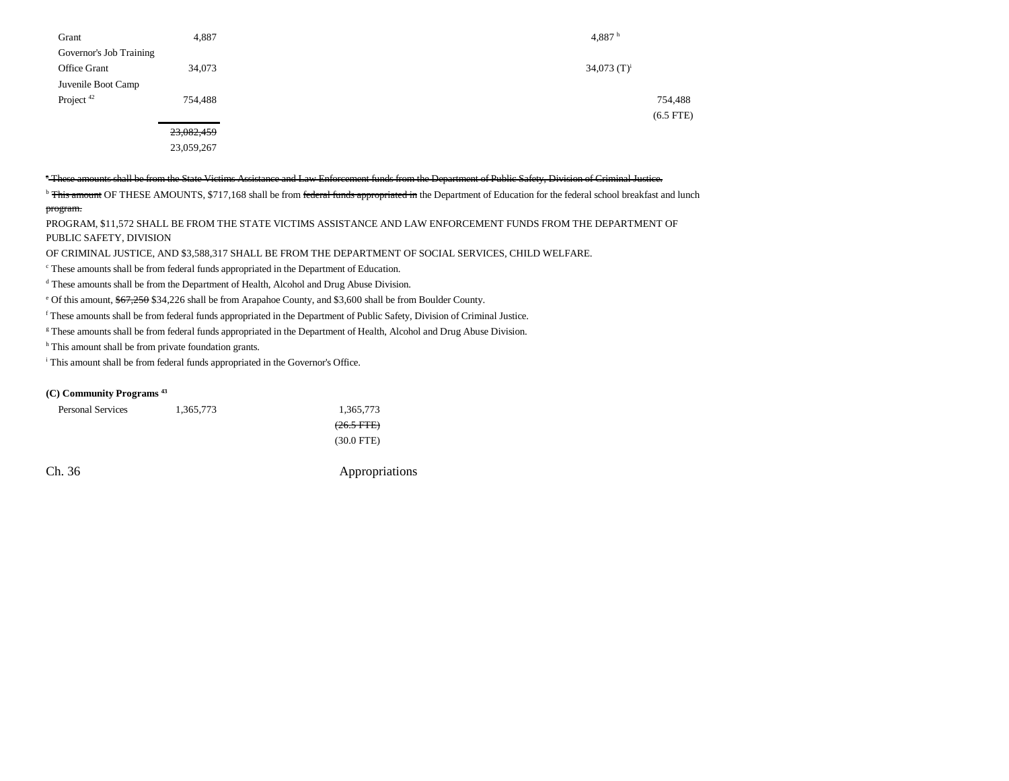| Grant                   | 4,887      | 4,887 $h$      |
|-------------------------|------------|----------------|
| Governor's Job Training |            |                |
| Office Grant            | 34,073     | 34,073 $(T)^i$ |
| Juvenile Boot Camp      |            |                |
| Project $42$            | 754,488    | 754,488        |
|                         |            | $(6.5$ FTE)    |
|                         | 23,082,459 |                |
|                         |            |                |

23,059,267

### a These amounts shall be from the State Victims Assistance and Law Enforcement funds from the Department of Public Safety, Division of Criminal Justice.

<sup>b</sup> This amount OF THESE AMOUNTS, \$717,168 shall be from federal funds appropriated in the Department of Education for the federal school breakfast and lunch program.

PROGRAM, \$11,572 SHALL BE FROM THE STATE VICTIMS ASSISTANCE AND LAW ENFORCEMENT FUNDS FROM THE DEPARTMENT OF PUBLIC SAFETY, DIVISION

OF CRIMINAL JUSTICE, AND \$3,588,317 SHALL BE FROM THE DEPARTMENT OF SOCIAL SERVICES, CHILD WELFARE.

c These amounts shall be from federal funds appropriated in the Department of Education.

d These amounts shall be from the Department of Health, Alcohol and Drug Abuse Division.

e Of this amount, \$67,250 \$34,226 shall be from Arapahoe County, and \$3,600 shall be from Boulder County.

f These amounts shall be from federal funds appropriated in the Department of Public Safety, Division of Criminal Justice.

<sup>g</sup> These amounts shall be from federal funds appropriated in the Department of Health, Alcohol and Drug Abuse Division.

<sup>h</sup> This amount shall be from private foundation grants.

i This amount shall be from federal funds appropriated in the Governor's Office.

### **(C) Community Programs 43**

| <b>Personal Services</b> | 1,365,773 | 1,365,773            |
|--------------------------|-----------|----------------------|
|                          |           | $(26.5 \text{ FFE})$ |
|                          |           | $(30.0$ FTE)         |
|                          |           |                      |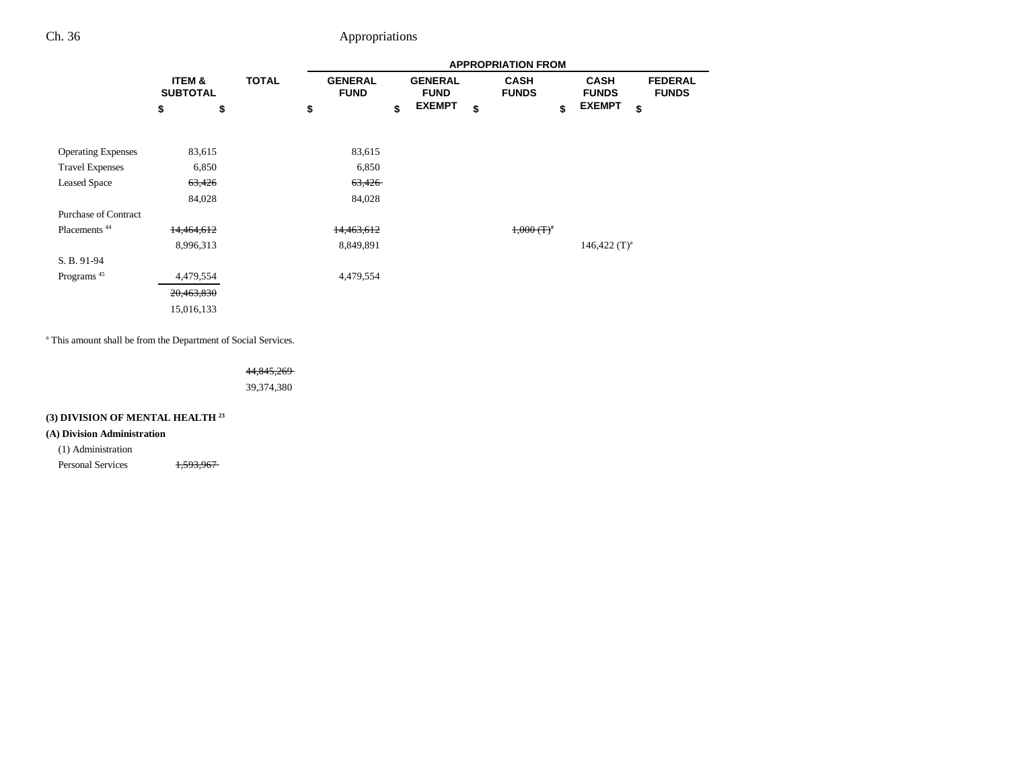|                             |                           |              |                               | <b>APPROPRIATION FROM</b> |    |                               |    |                             |    |                             |                                |  |
|-----------------------------|---------------------------|--------------|-------------------------------|---------------------------|----|-------------------------------|----|-----------------------------|----|-----------------------------|--------------------------------|--|
|                             | ITEM &<br><b>SUBTOTAL</b> | <b>TOTAL</b> | <b>GENERAL</b><br><b>FUND</b> |                           |    | <b>GENERAL</b><br><b>FUND</b> |    | <b>CASH</b><br><b>FUNDS</b> |    | <b>CASH</b><br><b>FUNDS</b> | <b>FEDERAL</b><br><b>FUNDS</b> |  |
|                             | \$<br>\$                  |              | \$                            |                           | \$ | <b>EXEMPT</b>                 | \$ |                             | \$ | <b>EXEMPT</b><br>\$         |                                |  |
| <b>Operating Expenses</b>   | 83,615                    |              |                               | 83,615                    |    |                               |    |                             |    |                             |                                |  |
| <b>Travel Expenses</b>      | 6,850                     |              |                               | 6,850                     |    |                               |    |                             |    |                             |                                |  |
| <b>Leased Space</b>         | 63,426                    |              |                               | 63,426                    |    |                               |    |                             |    |                             |                                |  |
|                             | 84,028                    |              |                               | 84,028                    |    |                               |    |                             |    |                             |                                |  |
| <b>Purchase of Contract</b> |                           |              |                               |                           |    |                               |    |                             |    |                             |                                |  |
| Placements <sup>44</sup>    | 14,464,612                |              |                               | 14,463,612                |    |                               |    | $1,000(T)^n$                |    |                             |                                |  |
|                             | 8,996,313                 |              |                               | 8,849,891                 |    |                               |    |                             |    | 146,422 $(T)^a$             |                                |  |
| S. B. 91-94                 |                           |              |                               |                           |    |                               |    |                             |    |                             |                                |  |
| Programs <sup>45</sup>      | 4,479,554                 |              |                               | 4,479,554                 |    |                               |    |                             |    |                             |                                |  |
|                             | 20,463,830                |              |                               |                           |    |                               |    |                             |    |                             |                                |  |
|                             | 15,016,133                |              |                               |                           |    |                               |    |                             |    |                             |                                |  |

a This amount shall be from the Department of Social Services.

44,845,269 39,374,380

# **(3) DIVISION OF MENTAL HEALTH 23**

### **(A) Division Administration**

(1) Administration

Personal Services 1,593,967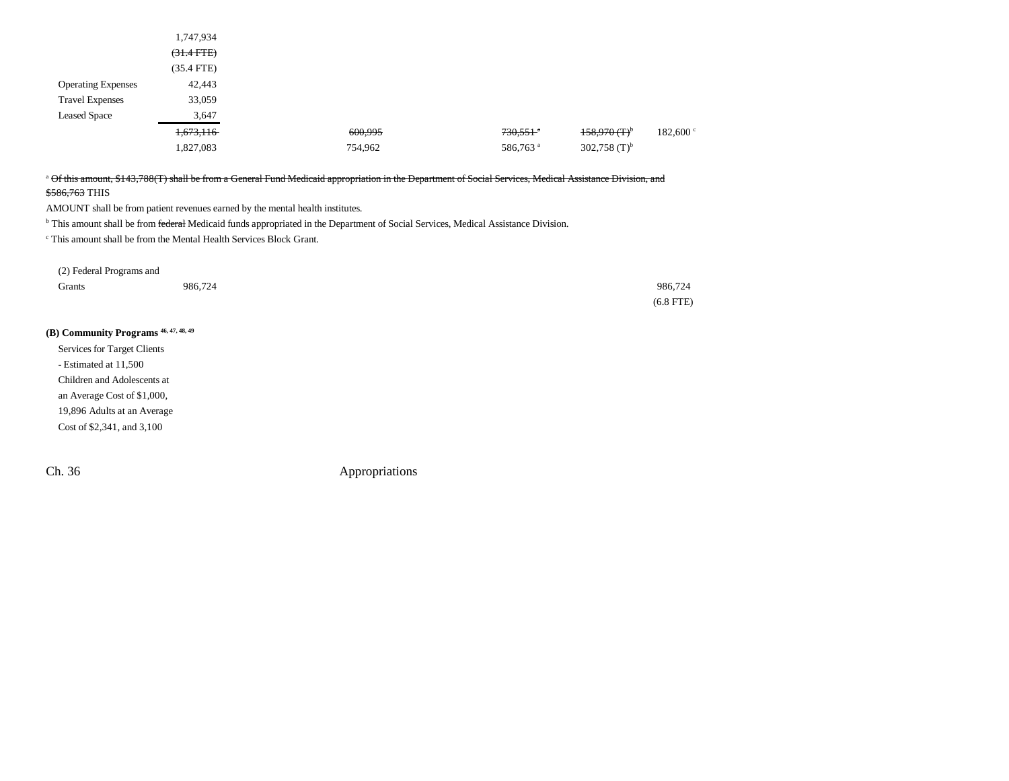| $(31.4$ FTE)                                                       |
|--------------------------------------------------------------------|
| $(35.4$ FTE)                                                       |
| 42,443<br><b>Operating Expenses</b>                                |
| 33,059<br><b>Travel Expenses</b>                                   |
| <b>Leased Space</b><br>3,647                                       |
| $158,970(T)^{b}$<br>$730,551$ <sup>a</sup><br>600,995<br>1,673,116 |
| 302,758 $(T)^{b}$<br>1,827,083<br>586,763 <sup>a</sup><br>754,962  |

# <sup>a</sup> Of this amount, \$143,788(T) shall be from a General Fund Medicaid appropriation in the Department of Social Services, Medical Assistance Division, and

\$586,763 THIS

AMOUNT shall be from patient revenues earned by the mental health institutes.

<sup>b</sup> This amount shall be from federal Medicaid funds appropriated in the Department of Social Services, Medical Assistance Division.

c This amount shall be from the Mental Health Services Block Grant.

| (2) Federal Programs and |         |             |
|--------------------------|---------|-------------|
| Grants                   | 986,724 | 986,724     |
|                          |         | $(6.8$ FTE) |

# **(B) Community Programs 46, 47, 48, 49**

Services for Target Clients - Estimated at 11,500 Children and Adolescents at an Average Cost of \$1,000, 19,896 Adults at an Average Cost of \$2,341, and 3,100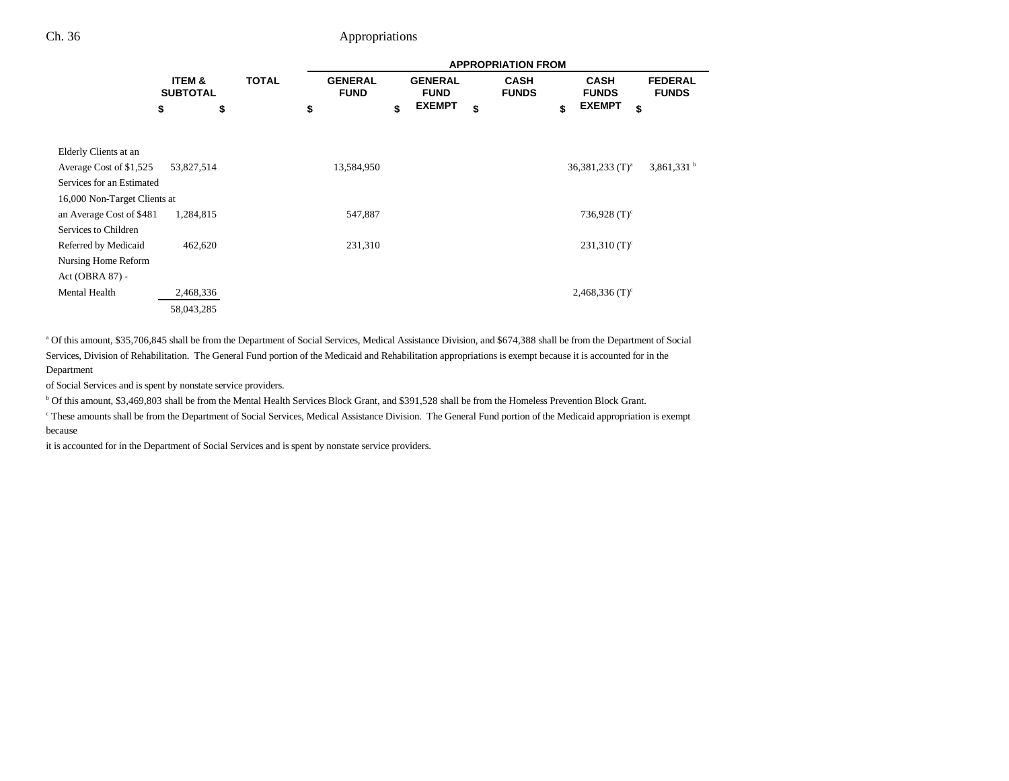|                              |                                      |              | <b>APPROPRIATION FROM</b>     |    |                               |    |                             |    |                               |                                |  |  |
|------------------------------|--------------------------------------|--------------|-------------------------------|----|-------------------------------|----|-----------------------------|----|-------------------------------|--------------------------------|--|--|
|                              | <b>ITEM &amp;</b><br><b>SUBTOTAL</b> | <b>TOTAL</b> | <b>GENERAL</b><br><b>FUND</b> |    | <b>GENERAL</b><br><b>FUND</b> |    | <b>CASH</b><br><b>FUNDS</b> |    | <b>CASH</b><br><b>FUNDS</b>   | <b>FEDERAL</b><br><b>FUNDS</b> |  |  |
|                              | \$                                   | \$           | \$                            | \$ | <b>EXEMPT</b>                 | \$ |                             | \$ | <b>EXEMPT</b>                 | \$                             |  |  |
| Elderly Clients at an        |                                      |              |                               |    |                               |    |                             |    |                               |                                |  |  |
| Average Cost of \$1,525      | 53,827,514                           |              | 13,584,950                    |    |                               |    |                             |    | $36,381,233$ (T) <sup>a</sup> | $3,861,331$ <sup>b</sup>       |  |  |
| Services for an Estimated    |                                      |              |                               |    |                               |    |                             |    |                               |                                |  |  |
| 16,000 Non-Target Clients at |                                      |              |                               |    |                               |    |                             |    |                               |                                |  |  |
| an Average Cost of \$481     | 1,284,815                            |              | 547,887                       |    |                               |    |                             |    | 736,928 $(T)^c$               |                                |  |  |
| Services to Children         |                                      |              |                               |    |                               |    |                             |    |                               |                                |  |  |
| Referred by Medicaid         | 462,620                              |              | 231,310                       |    |                               |    |                             |    | $231,310$ (T) <sup>c</sup>    |                                |  |  |
| Nursing Home Reform          |                                      |              |                               |    |                               |    |                             |    |                               |                                |  |  |
| Act (OBRA 87) -              |                                      |              |                               |    |                               |    |                             |    |                               |                                |  |  |
| Mental Health                | 2,468,336                            |              |                               |    |                               |    |                             |    | $2,468,336$ (T) <sup>c</sup>  |                                |  |  |
|                              | 58,043,285                           |              |                               |    |                               |    |                             |    |                               |                                |  |  |

a Of this amount, \$35,706,845 shall be from the Department of Social Services, Medical Assistance Division, and \$674,388 shall be from the Department of Social Services, Division of Rehabilitation. The General Fund portion of the Medicaid and Rehabilitation appropriations is exempt because it is accounted for in the Department

of Social Services and is spent by nonstate service providers.

b Of this amount, \$3,469,803 shall be from the Mental Health Services Block Grant, and \$391,528 shall be from the Homeless Prevention Block Grant.

c These amounts shall be from the Department of Social Services, Medical Assistance Division. The General Fund portion of the Medicaid appropriation is exempt because

it is accounted for in the Department of Social Services and is spent by nonstate service providers.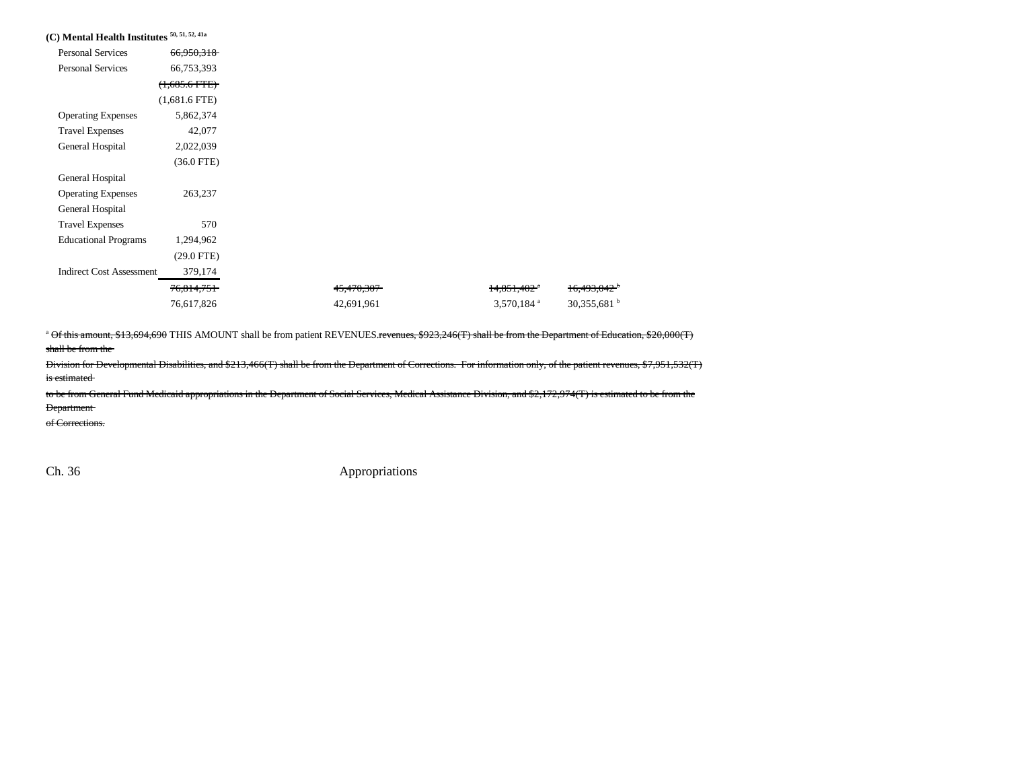| (C) Mental Health Institutes 50, 51, 52, 41a |                    |            |                           |                         |
|----------------------------------------------|--------------------|------------|---------------------------|-------------------------|
| <b>Personal Services</b>                     | 66,950,318         |            |                           |                         |
| Personal Services                            | 66,753,393         |            |                           |                         |
|                                              | $(1,685.6$ FTE $)$ |            |                           |                         |
|                                              | $(1,681.6$ FTE)    |            |                           |                         |
| <b>Operating Expenses</b>                    | 5,862,374          |            |                           |                         |
| <b>Travel Expenses</b>                       | 42,077             |            |                           |                         |
| General Hospital                             | 2,022,039          |            |                           |                         |
|                                              | $(36.0$ FTE)       |            |                           |                         |
| General Hospital                             |                    |            |                           |                         |
| <b>Operating Expenses</b>                    | 263,237            |            |                           |                         |
| General Hospital                             |                    |            |                           |                         |
| <b>Travel Expenses</b>                       | 570                |            |                           |                         |
| <b>Educational Programs</b>                  | 1,294,962          |            |                           |                         |
|                                              | $(29.0$ FTE)       |            |                           |                         |
| <b>Indirect Cost Assessment</b>              | 379,174            |            |                           |                         |
|                                              | 76,814,751         | 45,470,307 | $14,851,402$ <sup>*</sup> | 16,493,042 <sup>b</sup> |
|                                              | 76,617,826         | 42,691,961 | 3,570,184 $a$             | 30,355,681 $^{\rm b}$   |
|                                              |                    |            |                           |                         |

<sup>a</sup> Of this amount, \$13,694,690 THIS AMOUNT shall be from patient REVENUES.revenues, \$923,246(T) shall be from the Department of Education, \$20,000(T) shall be from the

Division for Developmental Disabilities, and \$213,466(T) shall be from the Department of Corrections. For information only, of the patient revenues, \$7,951,532(T) is estimated

to be from General Fund Medicaid appropriations in the Department of Social Services, Medical Assistance Division, and \$2,172,974(T) is estimated to be from the Department

of Corrections.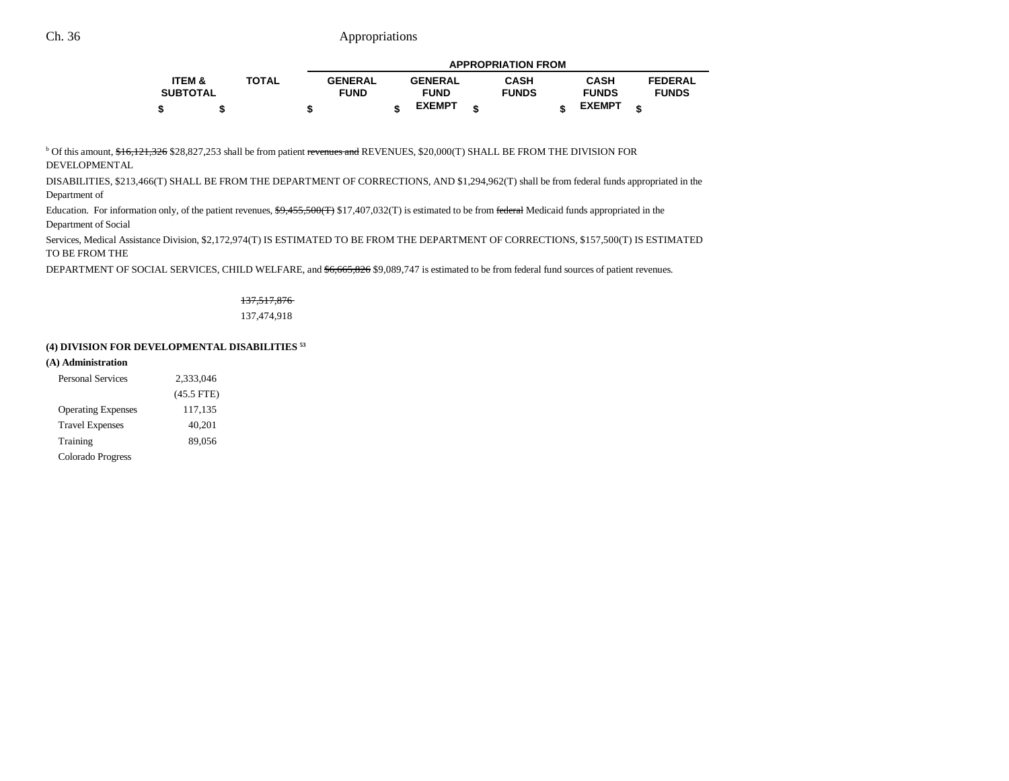|                   |              | <b>APPROPRIATION FROM</b> |  |                |  |              |  |               |  |                |
|-------------------|--------------|---------------------------|--|----------------|--|--------------|--|---------------|--|----------------|
| <b>ITEM &amp;</b> | <b>TOTAL</b> | <b>GENERAL</b>            |  | <b>GENERAL</b> |  | <b>CASH</b>  |  | <b>CASH</b>   |  | <b>FEDERAL</b> |
| <b>SUBTOTAL</b>   |              | <b>FUND</b>               |  | <b>FUND</b>    |  | <b>FUNDS</b> |  | <b>FUNDS</b>  |  | <b>FUNDS</b>   |
| \$                |              |                           |  | <b>EXEMPT</b>  |  |              |  | <b>EXEMPT</b> |  |                |

<sup>b</sup> Of this amount, \$16,121,326 \$28,827,253 shall be from patient revenues and REVENUES, \$20,000(T) SHALL BE FROM THE DIVISION FOR DEVELOPMENTAL

DISABILITIES, \$213,466(T) SHALL BE FROM THE DEPARTMENT OF CORRECTIONS, AND \$1,294,962(T) shall be from federal funds appropriated in the Department of

Education. For information only, of the patient revenues,  $\frac{69,455,500(T)}{17,407,032(T)}$  is estimated to be from federal Medicaid funds appropriated in the Department of Social

Services, Medical Assistance Division, \$2,172,974(T) IS ESTIMATED TO BE FROM THE DEPARTMENT OF CORRECTIONS, \$157,500(T) IS ESTIMATED TO BE FROM THE

DEPARTMENT OF SOCIAL SERVICES, CHILD WELFARE, and \$6,665,826 \$9,089,747 is estimated to be from federal fund sources of patient revenues.

# 137,517,876

137,474,918

#### **(4) DIVISION FOR DEVELOPMENTAL DISABILITIES 53**

#### **(A) Administration**

| <b>Personal Services</b>  | 2.333,046    |  |  |  |  |
|---------------------------|--------------|--|--|--|--|
|                           | $(45.5$ FTE) |  |  |  |  |
| <b>Operating Expenses</b> | 117,135      |  |  |  |  |
| <b>Travel Expenses</b>    | 40,201       |  |  |  |  |
| Training                  | 89,056       |  |  |  |  |
| Colorado Progress         |              |  |  |  |  |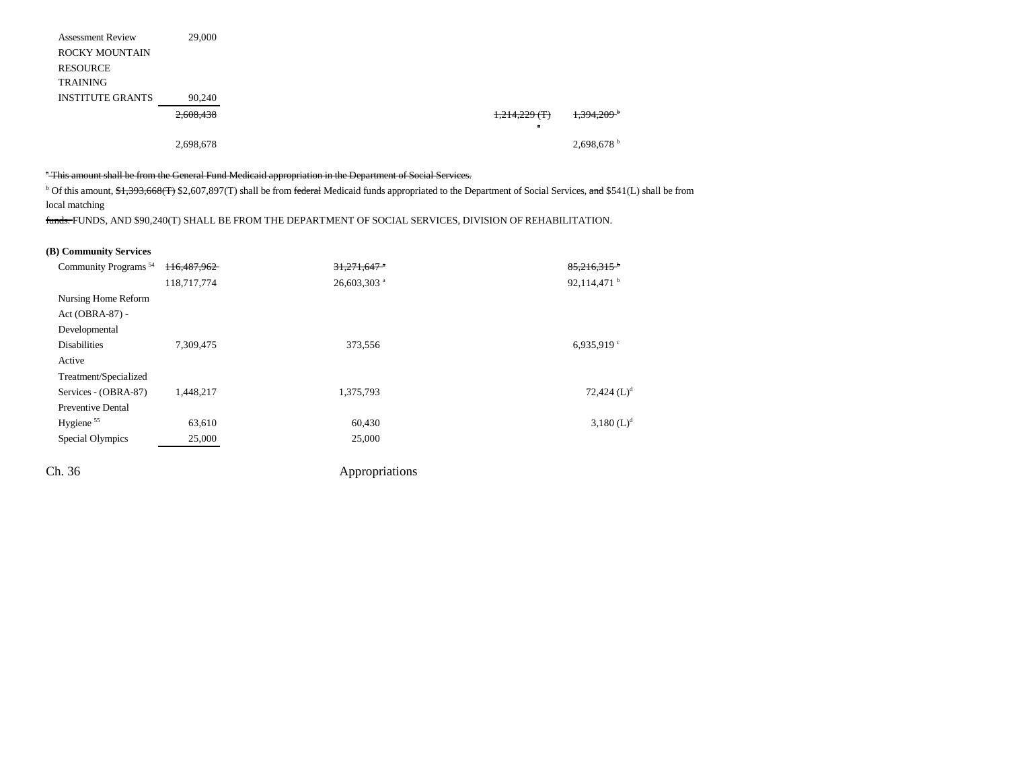| <b>Assessment Review</b> | 29,000    |  |                 |  |
|--------------------------|-----------|--|-----------------|--|
| <b>ROCKY MOUNTAIN</b>    |           |  |                 |  |
| <b>RESOURCE</b>          |           |  |                 |  |
| <b>TRAINING</b>          |           |  |                 |  |
| <b>INSTITUTE GRANTS</b>  | 90,240    |  |                 |  |
|                          | 2,608,438 |  | $1,214,229$ (T) |  |
|                          |           |  | $\overline{a}$  |  |
|                          | 2,698,678 |  |                 |  |

### <sup>a</sup> This amount shall be from the General Fund Medicaid appropriation in the Department of Social Services.

<sup>b</sup> Of this amount, \$1,393,668(T) \$2,607,897(T) shall be from federal Medicaid funds appropriated to the Department of Social Services, and \$541(L) shall be from local matching

funds. FUNDS, AND \$90,240(T) SHALL BE FROM THE DEPARTMENT OF SOCIAL SERVICES, DIVISION OF REHABILITATION.

#### **(B) Community Services**

| Community Programs <sup>54</sup> | 116,487,962 | $31,271,647$ <sup>a</sup> | $85,216,315$ <sup>b</sup> |
|----------------------------------|-------------|---------------------------|---------------------------|
|                                  | 118,717,774 | 26,603,303 <sup>a</sup>   | 92,114,471 $^{\rm b}$     |
| Nursing Home Reform              |             |                           |                           |
| $Act(OBRA-87) -$                 |             |                           |                           |
| Developmental                    |             |                           |                           |
| <b>Disabilities</b>              | 7,309,475   | 373,556                   | 6,935,919 $\degree$       |
| Active                           |             |                           |                           |
| Treatment/Specialized            |             |                           |                           |
| Services - (OBRA-87)             | 1.448.217   | 1,375,793                 | 72,424 $(L)^d$            |
| <b>Preventive Dental</b>         |             |                           |                           |
| Hygiene <sup>55</sup>            | 63,610      | 60,430                    | $3,180~(L)^d$             |
| Special Olympics                 | 25,000      | 25,000                    |                           |
| Ch. 36                           |             | Appropriations            |                           |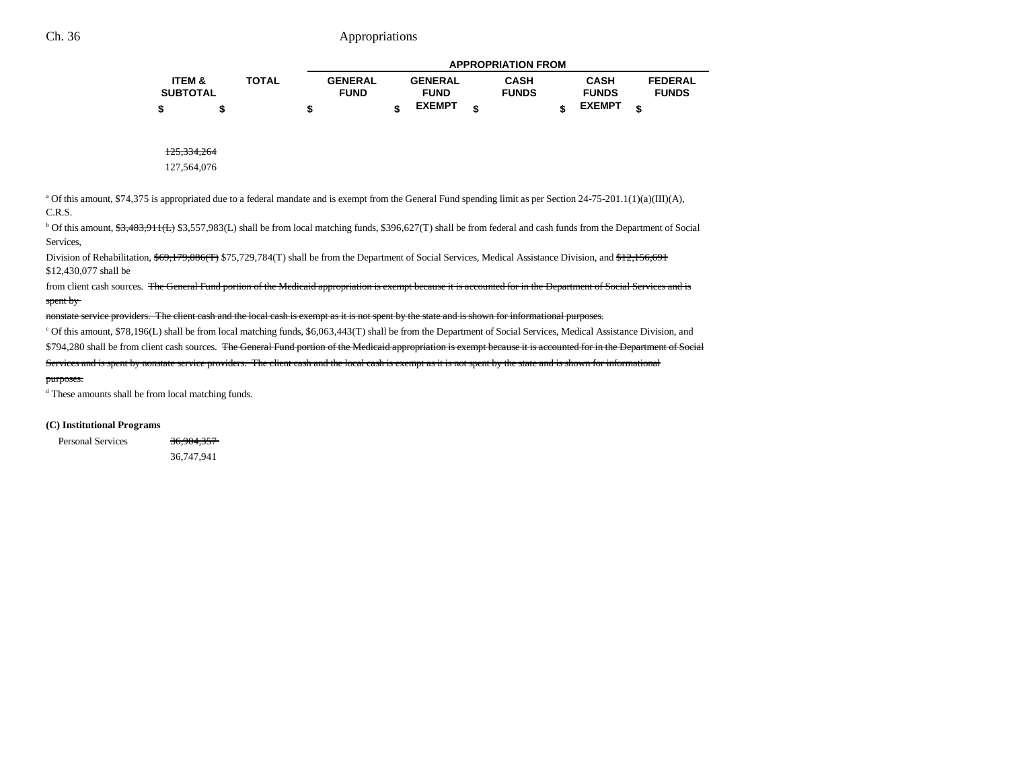|                   |              |                |                | <b>APPROPRIATION FROM</b> |               |   |                |
|-------------------|--------------|----------------|----------------|---------------------------|---------------|---|----------------|
| <b>ITEM &amp;</b> | <b>TOTAL</b> | <b>GENERAL</b> | <b>GENERAL</b> | <b>CASH</b>               | <b>CASH</b>   |   | <b>FEDERAL</b> |
| <b>SUBTOTAL</b>   |              | <b>FUND</b>    | <b>FUND</b>    | <b>FUNDS</b>              | <b>FUNDS</b>  |   | <b>FUNDS</b>   |
|                   |              |                | <b>EXEMPT</b>  |                           | <b>EXEMPT</b> | ¢ |                |

125,334,264

127,564,076

<sup>a</sup> Of this amount, \$74,375 is appropriated due to a federal mandate and is exempt from the General Fund spending limit as per Section 24-75-201.1(1)(a)(III)(A), C.R.S.

<sup>b</sup> Of this amount, \$3,483,911(L) \$3,557,983(L) shall be from local matching funds, \$396,627(T) shall be from federal and cash funds from the Department of Social Services,

Division of Rehabilitation, \$69,179,086(T) \$75,729,784(T) shall be from the Department of Social Services, Medical Assistance Division, and \$12,156,691 \$12,430,077 shall be

from client cash sources. The General Fund portion of the Medicaid appropriation is exempt because it is accounted for in the Department of Social Services and is spent by

nonstate service providers. The client cash and the local cash is exempt as it is not spent by the state and is shown for informational purposes.

c Of this amount, \$78,196(L) shall be from local matching funds, \$6,063,443(T) shall be from the Department of Social Services, Medical Assistance Division, and

\$794,280 shall be from client cash sources. The General Fund portion of the Medicaid appropriation is exempt because it is accounted for in the Department of Social

Services and is spent by nonstate service providers. The client cash and the local cash is exempt as it is not spent by the state and is shown for informational

#### purposes.

d These amounts shall be from local matching funds.

#### **(C) Institutional Programs**

Personal Services 36,904,357 36,747,941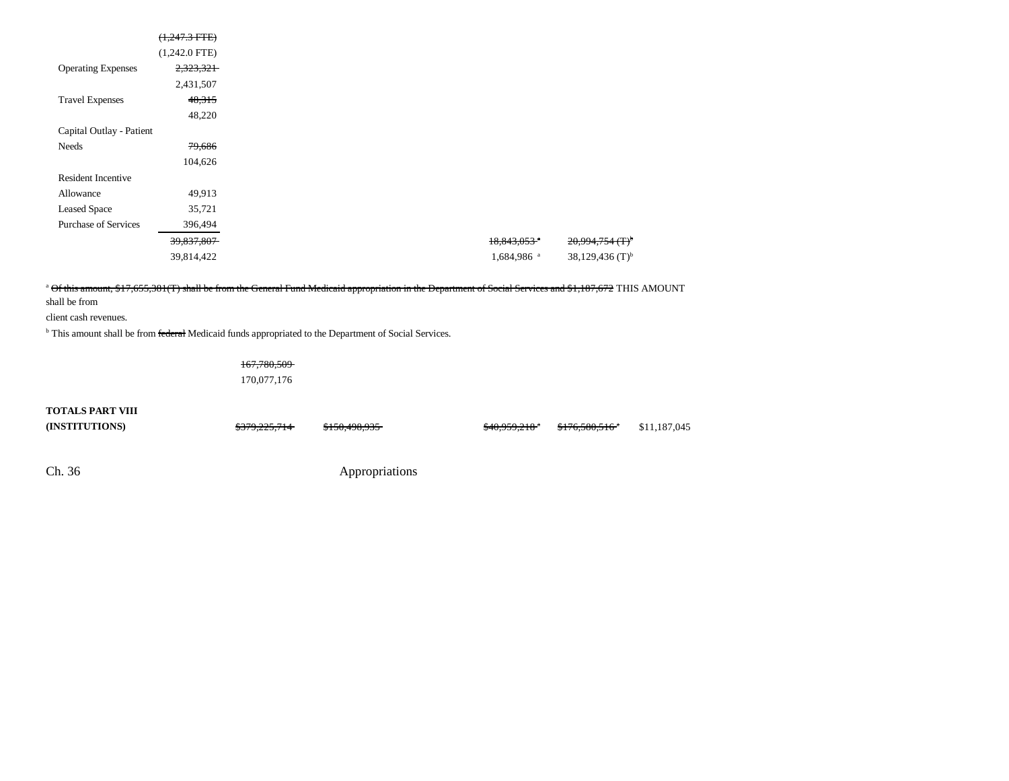|                             | $(1,247.3$ FTE) |
|-----------------------------|-----------------|
|                             | $(1,242.0$ FTE) |
| <b>Operating Expenses</b>   | 2,323,321       |
|                             | 2,431,507       |
| <b>Travel Expenses</b>      | 48,315          |
|                             | 48,220          |
| Capital Outlay - Patient    |                 |
| Needs                       | 79,686          |
|                             | 104,626         |
| <b>Resident Incentive</b>   |                 |
| Allowance                   | 49,913          |
| <b>Leased Space</b>         | 35,721          |
| <b>Purchase of Services</b> | 396,494         |
|                             | 39,837,807      |
|                             | 39,814,422      |

### a Of this amount, \$17,655,381(T) shall be from the General Fund Medicaid appropriation in the Department of Social Services and \$1,187,672 THIS AMOUNT

shall be from

client cash revenues.

<sup>b</sup> This amount shall be from federal Medicaid funds appropriated to the Department of Social Services.

167,780,509 170,077,176

### **TOTALS PART VIII**

**(INSTITUTIONS) \$379,225,714 \$150,498,935 \$40,959,218<sup>3</sup> \$176,580,516<sup>3</sup> \$11,187,045**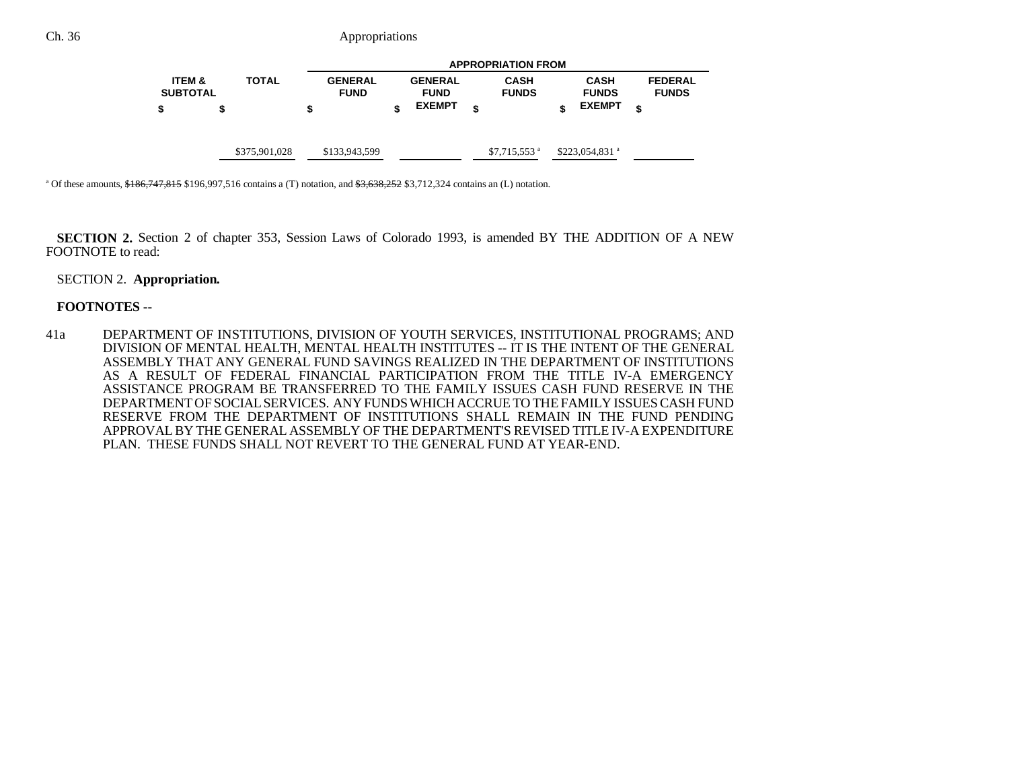|                                      |               |                               | <b>APPROPRIATION FROM</b>     |                             |                             |                                |  |  |  |  |
|--------------------------------------|---------------|-------------------------------|-------------------------------|-----------------------------|-----------------------------|--------------------------------|--|--|--|--|
| <b>ITEM &amp;</b><br><b>SUBTOTAL</b> | <b>TOTAL</b>  | <b>GENERAL</b><br><b>FUND</b> | <b>GENERAL</b><br><b>FUND</b> | <b>CASH</b><br><b>FUNDS</b> | <b>CASH</b><br><b>FUNDS</b> | <b>FEDERAL</b><br><b>FUNDS</b> |  |  |  |  |
|                                      | S             | \$                            | <b>EXEMPT</b>                 | \$                          | <b>EXEMPT</b>               | \$                             |  |  |  |  |
|                                      | \$375,901,028 | \$133,943,599                 |                               | $$7,715,553$ <sup>a</sup>   | $$223,054,831$ <sup>a</sup> |                                |  |  |  |  |

<sup>a</sup> Of these amounts,  $$186,747,815$  \$196,997,516 contains a (T) notation, and  $$3,638,252$  \$3,712,324 contains an (L) notation.

**SECTION 2.** Section 2 of chapter 353, Session Laws of Colorado 1993, is amended BY THE ADDITION OF A NEW FOOTNOTE to read:

### SECTION 2. **Appropriation.**

### **FOOTNOTES --**

41a DEPARTMENT OF INSTITUTIONS, DIVISION OF YOUTH SERVICES, INSTITUTIONAL PROGRAMS; AND DIVISION OF MENTAL HEALTH, MENTAL HEALTH INSTITUTES -- IT IS THE INTENT OF THE GENERAL ASSEMBLY THAT ANY GENERAL FUND SAVINGS REALIZED IN THE DEPARTMENT OF INSTITUTIONS AS A RESULT OF FEDERAL FINANCIAL PARTICIPATION FROM THE TITLE IV-A EMERGENCYASSISTANCE PROGRAM BE TRANSFERRED TO THE FAMILY ISSUES CASH FUND RESERVE IN THEDEPARTMENT OF SOCIAL SERVICES. ANY FUNDS WHICH ACCRUE TO THE FAMILY ISSUES CASH FUNDRESERVE FROM THE DEPARTMENT OF INSTITUTIONS SHALL REMAIN IN THE FUND PENDING APPROVAL BY THE GENERAL ASSEMBLY OF THE DEPARTMENT'S REVISED TITLE IV-A EXPENDITURE PLAN. THESE FUNDS SHALL NOT REVERT TO THE GENERAL FUND AT YEAR-END.